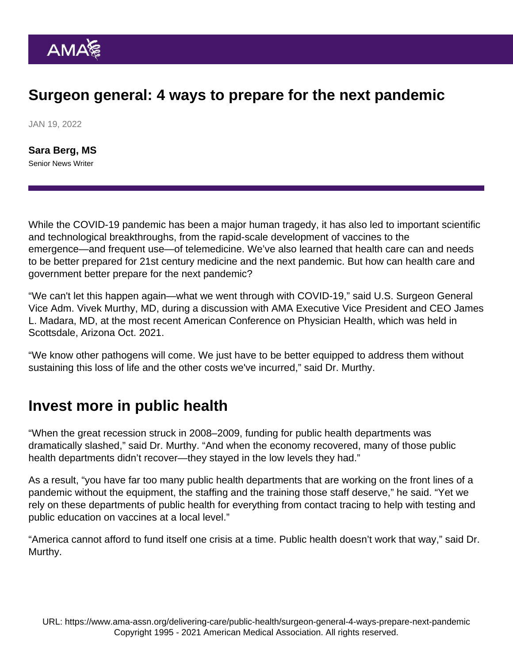## Surgeon general: 4 ways to prepare for the next pandemic

JAN 19, 2022

[Sara Berg, MS](https://www.ama-assn.org/news-leadership-viewpoints/authors-news-leadership-viewpoints/sara-berg-ms) Senior News Writer

While the COVID-19 pandemic has been a major human tragedy, it has also led to important scientific and technological breakthroughs, from the rapid-scale development of vaccines to the emergence—and frequent use—of telemedicine. We've also learned that health care can and needs to be better prepared for 21st century medicine and the next pandemic. But how can health care and government better prepare for the next pandemic?

"We can't let this happen again—what we went through with COVID-19," said U.S. Surgeon General Vice Adm. [Vivek Murthy, MD,](https://www.ama-assn.org/practice-management/physician-health/vivek-murthy-md-turns-focus-physician-well-being) during a discussion with AMA Executive Vice President and CEO [James](https://www.ama-assn.org/news-leadership-viewpoints/authors-news-leadership-viewpoints/james-l-madara-md) [L. Madara, MD](https://www.ama-assn.org/news-leadership-viewpoints/authors-news-leadership-viewpoints/james-l-madara-md), at the most recent [American Conference on Physician Health,](https://www.ama-assn.org/practice-management/physician-health/american-conference-physician-health-2021) which was held in Scottsdale, Arizona Oct. 2021.

"We know other pathogens will come. We just have to be better equipped to address them without sustaining this loss of life and the other costs we've incurred," said Dr. Murthy.

#### Invest more in public health

"When the great recession struck in 2008–2009, funding for public health departments was dramatically slashed," said Dr. Murthy. "And when the economy recovered, many of those public health departments didn't recover—they stayed in the low levels they had."

As a result, "you have far too many public health departments that are working on the front lines of a pandemic without the equipment, the staffing and the training those staff deserve," he said. "Yet we rely on these departments of public health for everything from contact tracing to help with testing and public education on vaccines at a local level."

"America cannot afford to fund itself one crisis at a time. Public health doesn't work that way," said Dr. Murthy.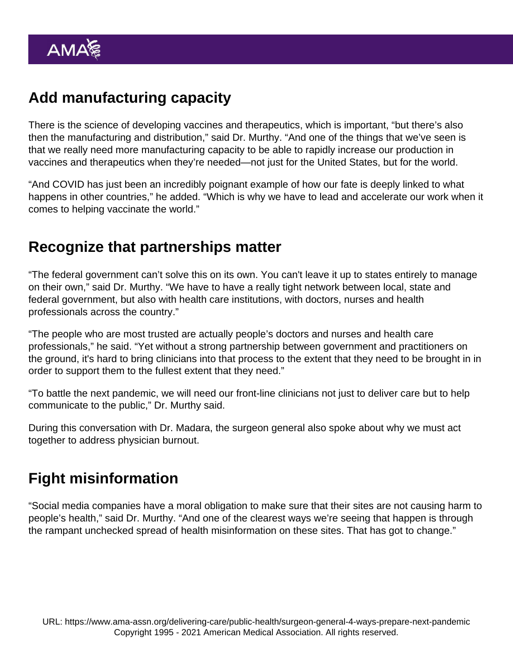# Add manufacturing capacity

There is the science of developing vaccines and therapeutics, which is important, "but there's also then the manufacturing and distribution," said Dr. Murthy. "And one of the things that we've seen is that we really need more manufacturing capacity to be able to rapidly increase our production in vaccines and therapeutics when they're needed—not just for the United States, but for the world.

"And COVID has just been an incredibly poignant example of how our fate is deeply linked to what happens in other countries," he added. "Which is why we have to lead and accelerate our work when it comes to helping vaccinate the world."

## Recognize that partnerships matter

"The federal government can't solve this on its own. You can't leave it up to states entirely to manage on their own," said Dr. Murthy. "We have to have a really tight network between local, state and federal government, but also with health care institutions, with doctors, nurses and health professionals across the country."

"The people who are most trusted are actually people's doctors and nurses and health care professionals," he said. "Yet without a strong partnership between government and practitioners on the ground, it's hard to bring clinicians into that process to the extent that they need to be brought in in order to support them to the fullest extent that they need."

"To battle the next pandemic, we will need our front-line clinicians not just to deliver care but to help communicate to the public," Dr. Murthy said.

During this conversation with Dr. Madara, the surgeon general also spoke about why [we must act](https://www.ama-assn.org/practice-management/physician-health/surgeon-general-we-must-act-together-address-physician-burnout) [together to address physician burnout.](https://www.ama-assn.org/practice-management/physician-health/surgeon-general-we-must-act-together-address-physician-burnout)

## Fight misinformation

"Social media companies have a moral obligation to make sure that their sites are not causing harm to people's health," said Dr. Murthy. "And one of the clearest ways we're seeing that happen is through the rampant unchecked spread of health misinformation on these sites. That has got to change."